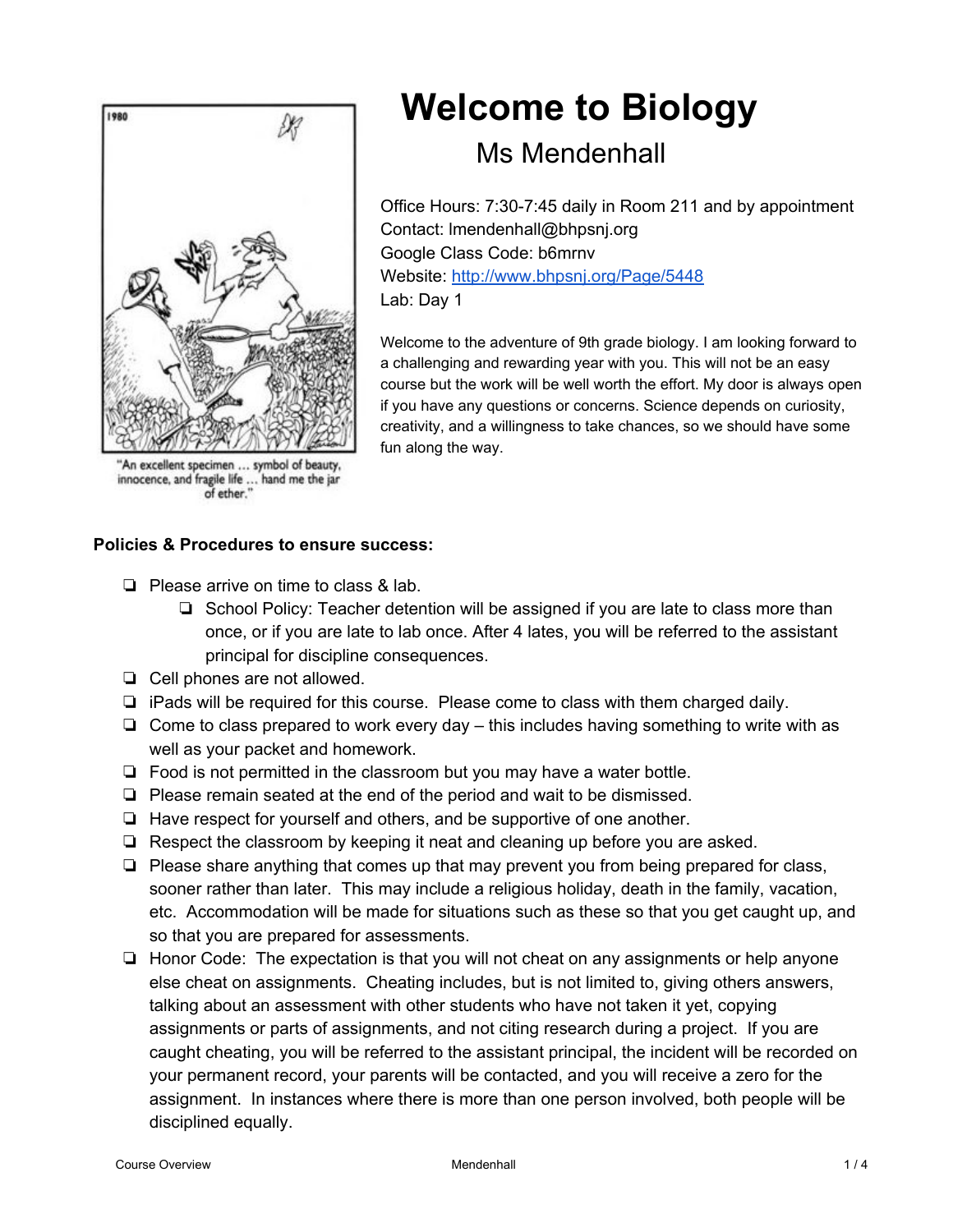

"An excellent specimen ... symbol of beauty, innocence, and fragile life ... hand me the jar<br>of ether."

# **Welcome to Biology**

# Ms Mendenhall

Office Hours: 7:30-7:45 daily in Room 211 and by appointment Contact: lmendenhall@bhpsnj.org Google Class Code: b6mrnv Website: <http://www.bhpsnj.org/Page/5448> Lab: Day 1

Welcome to the adventure of 9th grade biology. I am looking forward to a challenging and rewarding year with you. This will not be an easy course but the work will be well worth the effort. My door is always open if you have any questions or concerns. Science depends on curiosity, creativity, and a willingness to take chances, so we should have some fun along the way.

# **Policies & Procedures to ensure success:**

- ❏ Please arrive on time to class & lab.
	- ❏ School Policy: Teacher detention will be assigned if you are late to class more than once, or if you are late to lab once. After 4 lates, you will be referred to the assistant principal for discipline consequences.
- ❏ Cell phones are not allowed.
- ❏ iPads will be required for this course. Please come to class with them charged daily.
- ❏ Come to class prepared to work every day this includes having something to write with as well as your packet and homework.
- ❏ Food is not permitted in the classroom but you may have a water bottle.
- ❏ Please remain seated at the end of the period and wait to be dismissed.
- ❏ Have respect for yourself and others, and be supportive of one another.
- ❏ Respect the classroom by keeping it neat and cleaning up before you are asked.
- ❏ Please share anything that comes up that may prevent you from being prepared for class, sooner rather than later. This may include a religious holiday, death in the family, vacation, etc. Accommodation will be made for situations such as these so that you get caught up, and so that you are prepared for assessments.
- ❏ Honor Code: The expectation is that you will not cheat on any assignments or help anyone else cheat on assignments. Cheating includes, but is not limited to, giving others answers, talking about an assessment with other students who have not taken it yet, copying assignments or parts of assignments, and not citing research during a project. If you are caught cheating, you will be referred to the assistant principal, the incident will be recorded on your permanent record, your parents will be contacted, and you will receive a zero for the assignment. In instances where there is more than one person involved, both people will be disciplined equally.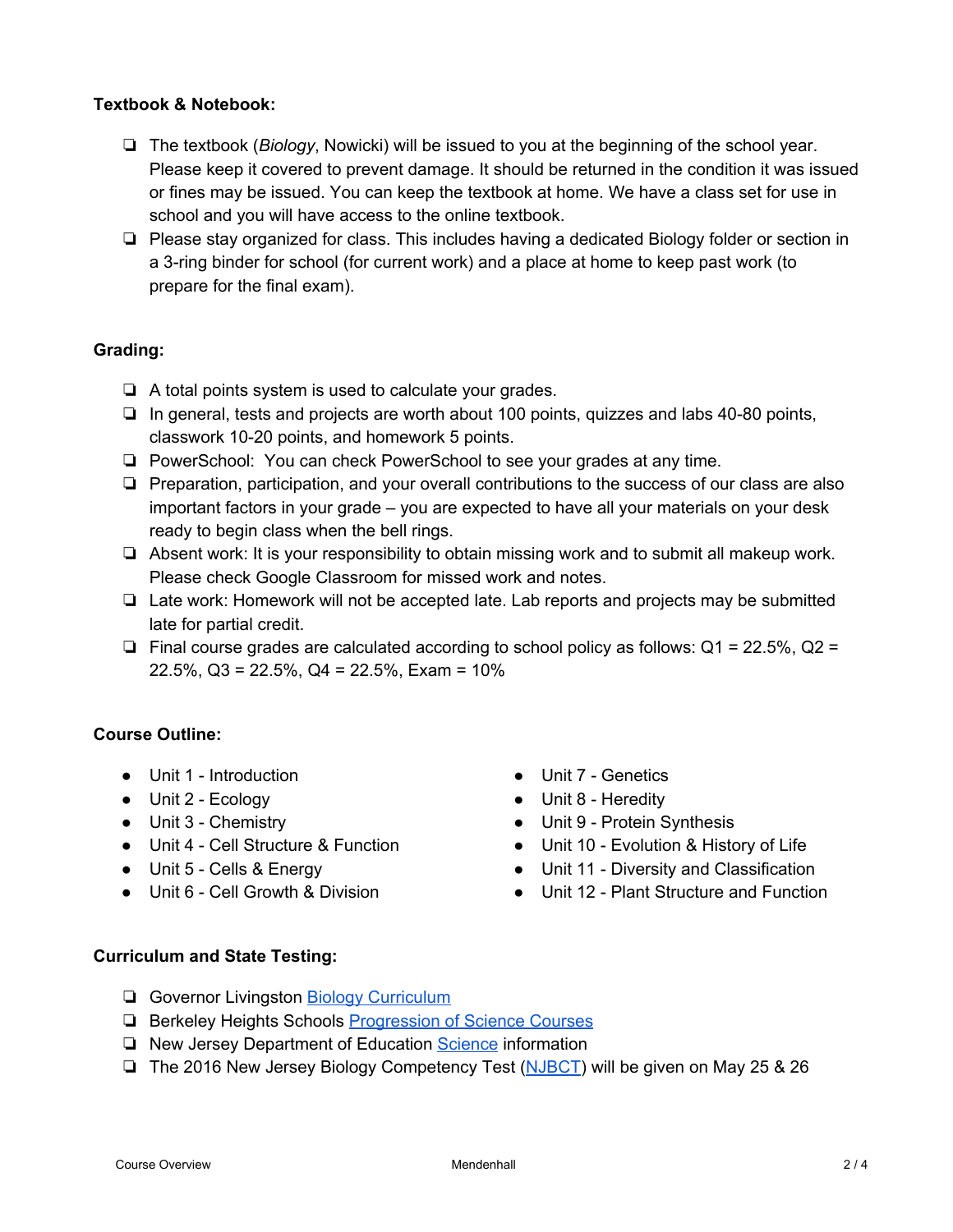# **Textbook & Notebook:**

- ❏ The textbook (*Biology*, Nowicki) will be issued to you at the beginning of the school year. Please keep it covered to prevent damage. It should be returned in the condition it was issued or fines may be issued. You can keep the textbook at home. We have a class set for use in school and you will have access to the online textbook.
- ❏ Please stay organized for class. This includes having a dedicated Biology folder or section in a 3ring binder for school (for current work) and a place at home to keep past work (to prepare for the final exam).

# **Grading:**

- ❏ A total points system is used to calculate your grades.
- ❏ In general, tests and projects are worth about 100 points, quizzes and labs 4080 points, classwork 1020 points, and homework 5 points.
- ❏ PowerSchool: You can check PowerSchool to see your grades at any time.
- ❏ Preparation, participation, and your overall contributions to the success of our class are also important factors in your grade – you are expected to have all your materials on your desk ready to begin class when the bell rings.
- ❏ Absent work: It is your responsibility to obtain missing work and to submit all makeup work. Please check Google Classroom for missed work and notes.
- ❏ Late work: Homework will not be accepted late. Lab reports and projects may be submitted late for partial credit.
- ❏ Final course grades are calculated according to school policy as follows: Q1 = 22.5%, Q2 = 22.5%, Q3 = 22.5%, Q4 = 22.5%, Exam = 10%

# **Course Outline:**

- Unit 1 Introduction
- Unit 2 Ecology
- Unit 3 Chemistry
- Unit 4 Cell Structure & Function
- Unit 5 Cells & Energy
- Unit 6 Cell Growth & Division
- Unit 7 Genetics
- Unit 8 Heredity
- Unit 9 Protein Synthesis
- Unit 10 Evolution & History of Life
- Unit 11 Diversity and Classification
- Unit 12 Plant Structure and Function

#### **Curriculum and State Testing:**

- ❏ Governor Livingston Biology [Curriculum](http://www.bhpsnj.org/Page/821)
- ❏ Berkeley Heights Schools [Progression](http://www.bhpsnj.org/domain/127) of Science Courses
- ❏ New Jersey Department of Education [Science](http://www.state.nj.us/education/aps/cccs/science/) information
- ❏ The 2016 New Jersey Biology Competency Test ([NJBCT\)](https://www.measinc.com/nj/NJBCT/Default.aspx) will be given on May 25 & 26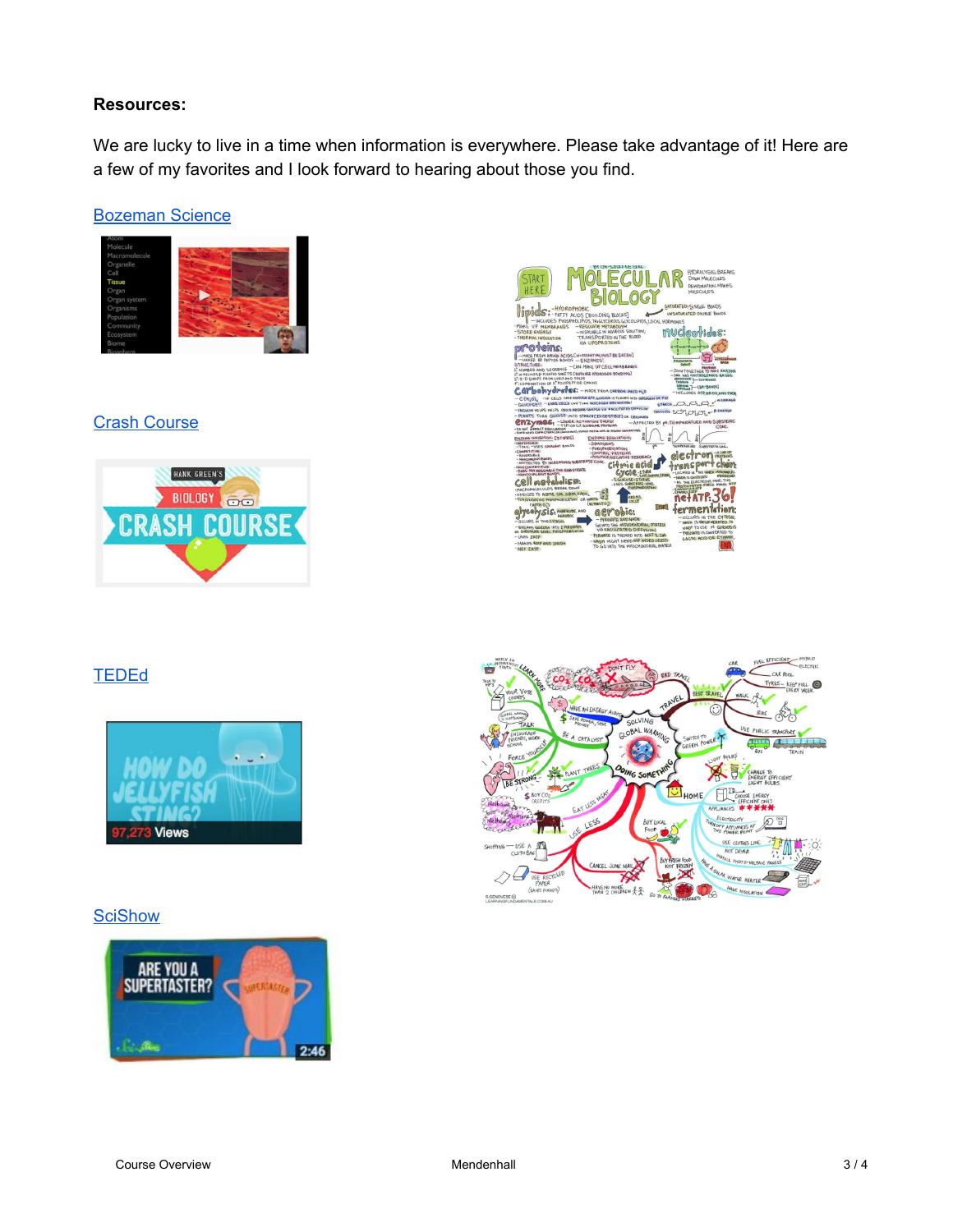# **Resources:**

We are lucky to live in a time when information is everywhere. Please take advantage of it! Here are a few of my favorites and I look forward to hearing about those you find.

# [Bozeman](http://www.bozemanscience.com/biology-main-page/) Science



# **Crash [Course](https://www.khanacademy.org/partner-content/crash-course1/partner-topic-crash-course-bio-ecology/crash-course-biology)**





# **[TEDEd](http://ed.ted.com/lessons?category=life-sciences)**



# **[SciShow](https://www.youtube.com/user/scishow)**